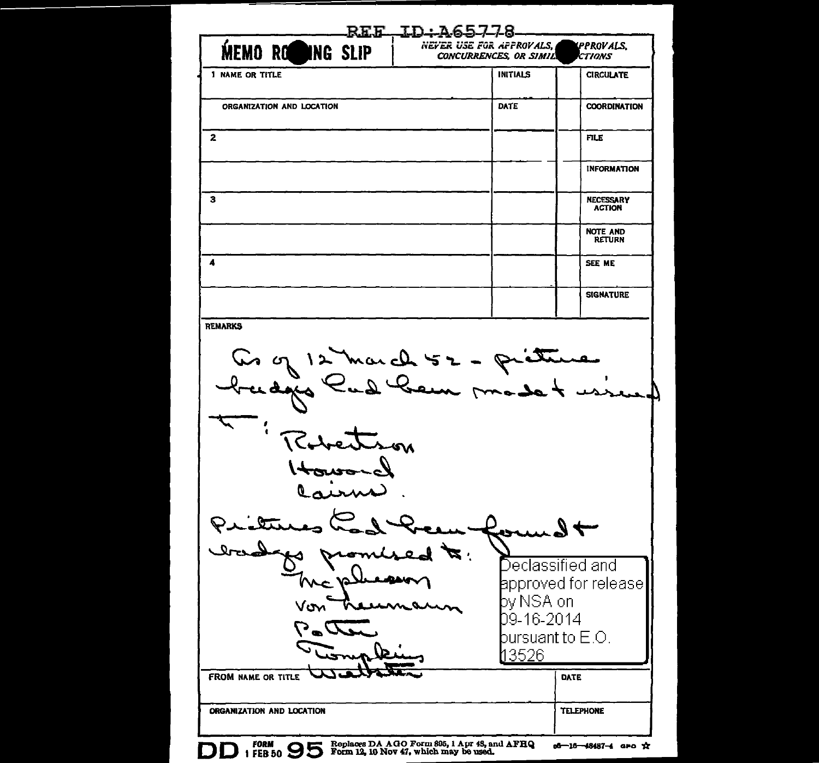| <b>MEMO ROOMNG SLIP</b>                                     | <u>REF ID:A65778</u><br>NEYER USE FOR APPROVALS,<br><b>CONCURRENCES, OR SIMIL</b> | PPROVALS,<br>CTIONS               |
|-------------------------------------------------------------|-----------------------------------------------------------------------------------|-----------------------------------|
| 1 NAME OR TITLE                                             | <b>INITIALS</b>                                                                   | <b>CIRCULATE</b>                  |
| ORGANIZATION AND LOCATION                                   | DATE                                                                              | <b>COORDINATION</b>               |
| $\mathbf{2}$                                                |                                                                                   | FILE                              |
|                                                             |                                                                                   | <b>INFORMATION</b>                |
| 3                                                           |                                                                                   | <b>NECESSARY</b><br><b>ACTION</b> |
|                                                             |                                                                                   | <b>NOTE AND</b><br><b>RETURN</b>  |
| 4                                                           |                                                                                   | SEE ME                            |
|                                                             |                                                                                   | <b>SIGNATURE</b>                  |
| <b>REMARKS</b><br>Co of 12 march 52 - prétures<br>Rebettion |                                                                                   |                                   |
| Houson<br>Cairne                                            |                                                                                   |                                   |
| <u>tetur</u>                                                |                                                                                   |                                   |
| Irandox                                                     |                                                                                   | Declassified and                  |
| Vom                                                         | by NSA on<br>rann                                                                 |                                   |
| $\sum_{i=1}^{n}$                                            | 09-16-2014<br>pursuant to $E.O.$                                                  | approved for release              |
| <b>FROM NAME OR TITLE</b>                                   | 3526                                                                              | DATE                              |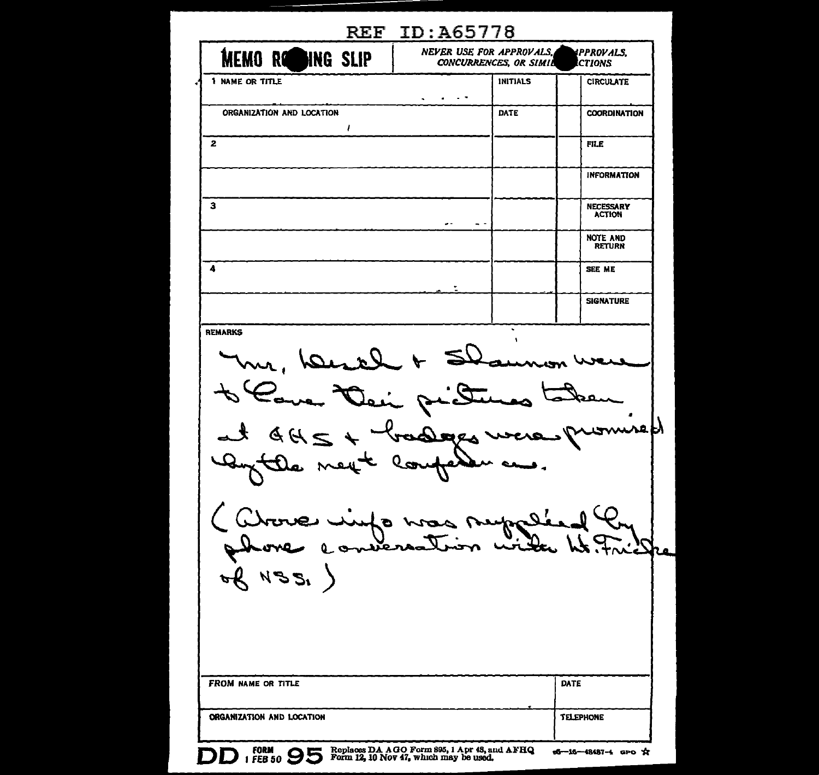| <b>MEMO ROBING SLIP</b>             | NEVER USE FOR APPROVALS., | <b>CONCURRENCES, OR SIMIL</b> | IPPROVALS.<br><b>CTIONS</b>       |
|-------------------------------------|---------------------------|-------------------------------|-----------------------------------|
| 1 NAME OR TITLE                     | $\sim$ $\sim$             | INITIALS                      | <b>CIRCULATE</b>                  |
| ORGANIZATION AND LOCATION           |                           | DATE                          | <b>COORDINATION</b>               |
| ı                                   |                           |                               | FILE                              |
|                                     |                           |                               | <b>INFORMATION</b>                |
|                                     |                           |                               | <b>NECESSARY</b><br><b>ACTION</b> |
|                                     | $\sim$ $-$<br>- -         |                               | <b>NOTE AND</b><br><b>RETURN</b>  |
|                                     |                           |                               | SEE ME                            |
|                                     |                           |                               | <b>SIGNATURE</b>                  |
|                                     |                           |                               |                                   |
| 2H<br>mext<br>ve vinfo was<br>N B B | adopts us<br>louf         | neppel.<br>Sin with           | wspy                              |